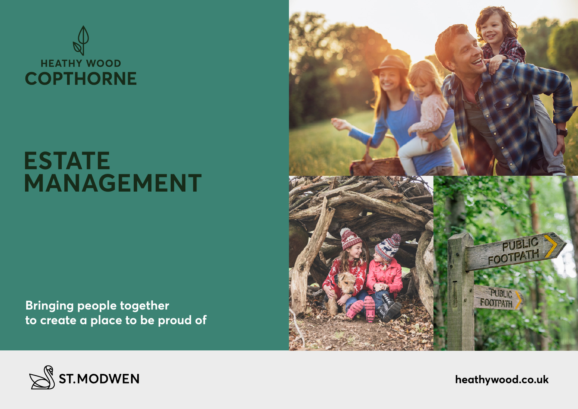

# **ESTATE MANAGEMENT**

**Bringing people together to create a place to be proud of**





**heathywood.co.uk**